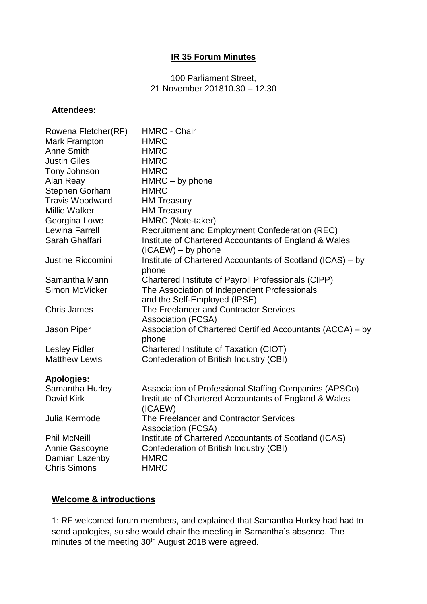#### **IR 35 Forum Minutes**

#### 100 Parliament Street, 21 November 201810.30 – 12.30

#### **Attendees:**

| Rowena Fletcher(RF)      | <b>HMRC - Chair</b>                                                                |
|--------------------------|------------------------------------------------------------------------------------|
| Mark Frampton            | <b>HMRC</b>                                                                        |
| Anne Smith               | <b>HMRC</b>                                                                        |
| <b>Justin Giles</b>      | <b>HMRC</b>                                                                        |
| Tony Johnson             | <b>HMRC</b>                                                                        |
| Alan Reay                | HMRC - by phone                                                                    |
| Stephen Gorham           | <b>HMRC</b>                                                                        |
| <b>Travis Woodward</b>   | <b>HM Treasury</b>                                                                 |
| <b>Millie Walker</b>     | <b>HM Treasury</b>                                                                 |
| Georgina Lowe            | HMRC (Note-taker)                                                                  |
| Lewina Farrell           | Recruitment and Employment Confederation (REC)                                     |
| Sarah Ghaffari           | Institute of Chartered Accountants of England & Wales                              |
| <b>Justine Riccomini</b> | $(ICAEW) - by phone$<br>Institute of Chartered Accountants of Scotland (ICAS) - by |
|                          | phone                                                                              |
| Samantha Mann            | Chartered Institute of Payroll Professionals (CIPP)                                |
| Simon McVicker           | The Association of Independent Professionals                                       |
|                          | and the Self-Employed (IPSE)                                                       |
| <b>Chris James</b>       | The Freelancer and Contractor Services                                             |
|                          | <b>Association (FCSA)</b>                                                          |
| Jason Piper              | Association of Chartered Certified Accountants (ACCA) – by                         |
|                          | phone                                                                              |
| <b>Lesley Fidler</b>     | Chartered Institute of Taxation (CIOT)                                             |
| <b>Matthew Lewis</b>     | Confederation of British Industry (CBI)                                            |
| <b>Apologies:</b>        |                                                                                    |
| Samantha Hurley          | Association of Professional Staffing Companies (APSCo)                             |
| David Kirk               | Institute of Chartered Accountants of England & Wales                              |
|                          | (ICAEW)                                                                            |
| Julia Kermode            | The Freelancer and Contractor Services                                             |
|                          | <b>Association (FCSA)</b>                                                          |
| <b>Phil McNeill</b>      | Institute of Chartered Accountants of Scotland (ICAS)                              |
| Annie Gascoyne           | Confederation of British Industry (CBI)                                            |
| Damian Lazenby           | <b>HMRC</b>                                                                        |
| <b>Chris Simons</b>      | <b>HMRC</b>                                                                        |

## **Welcome & introductions**

1: RF welcomed forum members, and explained that Samantha Hurley had had to send apologies, so she would chair the meeting in Samantha's absence. The minutes of the meeting 30<sup>th</sup> August 2018 were agreed.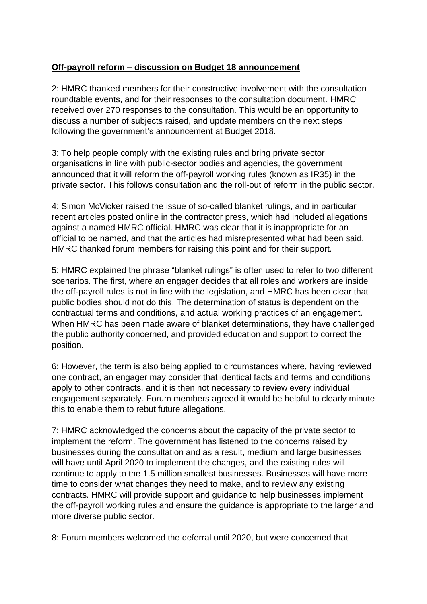# **Off-payroll reform – discussion on Budget 18 announcement**

2: HMRC thanked members for their constructive involvement with the consultation roundtable events, and for their responses to the consultation document. HMRC received over 270 responses to the consultation. This would be an opportunity to discuss a number of subjects raised, and update members on the next steps following the government's announcement at Budget 2018.

3: To help people comply with the existing rules and bring private sector organisations in line with public-sector bodies and agencies, the government announced that it will reform the off-payroll working rules (known as IR35) in the private sector. This follows consultation and the roll-out of reform in the public sector.

4: Simon McVicker raised the issue of so-called blanket rulings, and in particular recent articles posted online in the contractor press, which had included allegations against a named HMRC official. HMRC was clear that it is inappropriate for an official to be named, and that the articles had misrepresented what had been said. HMRC thanked forum members for raising this point and for their support.

5: HMRC explained the phrase "blanket rulings" is often used to refer to two different scenarios. The first, where an engager decides that all roles and workers are inside the off-payroll rules is not in line with the legislation, and HMRC has been clear that public bodies should not do this. The determination of status is dependent on the contractual terms and conditions, and actual working practices of an engagement. When HMRC has been made aware of blanket determinations, they have challenged the public authority concerned, and provided education and support to correct the position.

6: However, the term is also being applied to circumstances where, having reviewed one contract, an engager may consider that identical facts and terms and conditions apply to other contracts, and it is then not necessary to review every individual engagement separately. Forum members agreed it would be helpful to clearly minute this to enable them to rebut future allegations.

7: HMRC acknowledged the concerns about the capacity of the private sector to implement the reform. The government has listened to the concerns raised by businesses during the consultation and as a result, medium and large businesses will have until April 2020 to implement the changes, and the existing rules will continue to apply to the 1.5 million smallest businesses. Businesses will have more time to consider what changes they need to make, and to review any existing contracts. HMRC will provide support and guidance to help businesses implement the off-payroll working rules and ensure the guidance is appropriate to the larger and more diverse public sector.

8: Forum members welcomed the deferral until 2020, but were concerned that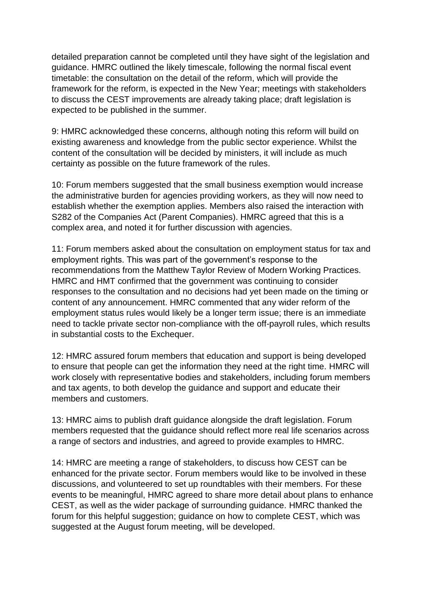detailed preparation cannot be completed until they have sight of the legislation and guidance. HMRC outlined the likely timescale, following the normal fiscal event timetable: the consultation on the detail of the reform, which will provide the framework for the reform, is expected in the New Year; meetings with stakeholders to discuss the CEST improvements are already taking place; draft legislation is expected to be published in the summer.

9: HMRC acknowledged these concerns, although noting this reform will build on existing awareness and knowledge from the public sector experience. Whilst the content of the consultation will be decided by ministers, it will include as much certainty as possible on the future framework of the rules.

10: Forum members suggested that the small business exemption would increase the administrative burden for agencies providing workers, as they will now need to establish whether the exemption applies. Members also raised the interaction with S282 of the Companies Act (Parent Companies). HMRC agreed that this is a complex area, and noted it for further discussion with agencies.

11: Forum members asked about the consultation on employment status for tax and employment rights. This was part of the government's response to the recommendations from the Matthew Taylor Review of Modern Working Practices. HMRC and HMT confirmed that the government was continuing to consider responses to the consultation and no decisions had yet been made on the timing or content of any announcement. HMRC commented that any wider reform of the employment status rules would likely be a longer term issue; there is an immediate need to tackle private sector non-compliance with the off-payroll rules, which results in substantial costs to the Exchequer.

12: HMRC assured forum members that education and support is being developed to ensure that people can get the information they need at the right time. HMRC will work closely with representative bodies and stakeholders, including forum members and tax agents, to both develop the guidance and support and educate their members and customers.

13: HMRC aims to publish draft guidance alongside the draft legislation. Forum members requested that the guidance should reflect more real life scenarios across a range of sectors and industries, and agreed to provide examples to HMRC.

14: HMRC are meeting a range of stakeholders, to discuss how CEST can be enhanced for the private sector. Forum members would like to be involved in these discussions, and volunteered to set up roundtables with their members. For these events to be meaningful, HMRC agreed to share more detail about plans to enhance CEST, as well as the wider package of surrounding guidance. HMRC thanked the forum for this helpful suggestion; guidance on how to complete CEST, which was suggested at the August forum meeting, will be developed.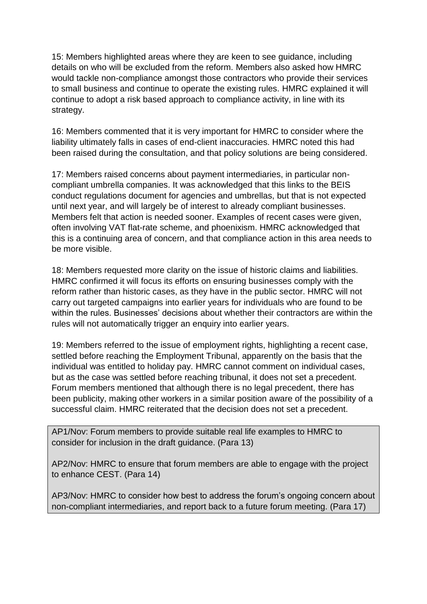15: Members highlighted areas where they are keen to see guidance, including details on who will be excluded from the reform. Members also asked how HMRC would tackle non-compliance amongst those contractors who provide their services to small business and continue to operate the existing rules. HMRC explained it will continue to adopt a risk based approach to compliance activity, in line with its strategy.

16: Members commented that it is very important for HMRC to consider where the liability ultimately falls in cases of end-client inaccuracies. HMRC noted this had been raised during the consultation, and that policy solutions are being considered.

17: Members raised concerns about payment intermediaries, in particular noncompliant umbrella companies. It was acknowledged that this links to the BEIS conduct regulations document for agencies and umbrellas, but that is not expected until next year, and will largely be of interest to already compliant businesses. Members felt that action is needed sooner. Examples of recent cases were given, often involving VAT flat-rate scheme, and phoenixism. HMRC acknowledged that this is a continuing area of concern, and that compliance action in this area needs to be more visible.

18: Members requested more clarity on the issue of historic claims and liabilities. HMRC confirmed it will focus its efforts on ensuring businesses comply with the reform rather than historic cases, as they have in the public sector. HMRC will not carry out targeted campaigns into earlier years for individuals who are found to be within the rules. Businesses' decisions about whether their contractors are within the rules will not automatically trigger an enquiry into earlier years.

19: Members referred to the issue of employment rights, highlighting a recent case, settled before reaching the Employment Tribunal, apparently on the basis that the individual was entitled to holiday pay. HMRC cannot comment on individual cases, but as the case was settled before reaching tribunal, it does not set a precedent. Forum members mentioned that although there is no legal precedent, there has been publicity, making other workers in a similar position aware of the possibility of a successful claim. HMRC reiterated that the decision does not set a precedent.

AP1/Nov: Forum members to provide suitable real life examples to HMRC to consider for inclusion in the draft guidance. (Para 13)

AP2/Nov: HMRC to ensure that forum members are able to engage with the project to enhance CEST. (Para 14)

AP3/Nov: HMRC to consider how best to address the forum's ongoing concern about non-compliant intermediaries, and report back to a future forum meeting. (Para 17)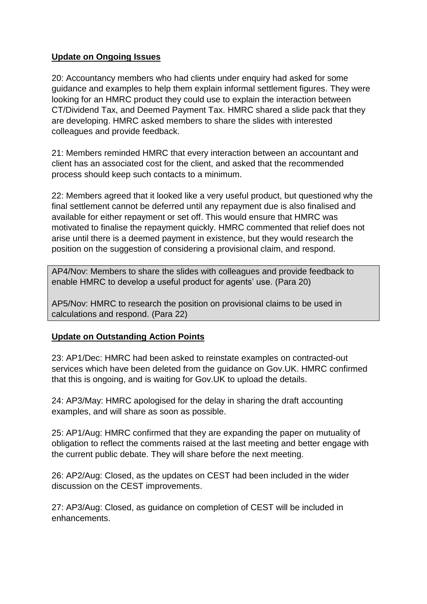## **Update on Ongoing Issues**

20: Accountancy members who had clients under enquiry had asked for some guidance and examples to help them explain informal settlement figures. They were looking for an HMRC product they could use to explain the interaction between CT/Dividend Tax, and Deemed Payment Tax. HMRC shared a slide pack that they are developing. HMRC asked members to share the slides with interested colleagues and provide feedback.

21: Members reminded HMRC that every interaction between an accountant and client has an associated cost for the client, and asked that the recommended process should keep such contacts to a minimum.

22: Members agreed that it looked like a very useful product, but questioned why the final settlement cannot be deferred until any repayment due is also finalised and available for either repayment or set off. This would ensure that HMRC was motivated to finalise the repayment quickly. HMRC commented that relief does not arise until there is a deemed payment in existence, but they would research the position on the suggestion of considering a provisional claim, and respond.

AP4/Nov: Members to share the slides with colleagues and provide feedback to enable HMRC to develop a useful product for agents' use. (Para 20)

AP5/Nov: HMRC to research the position on provisional claims to be used in calculations and respond. (Para 22)

## **Update on Outstanding Action Points**

23: AP1/Dec: HMRC had been asked to reinstate examples on contracted-out services which have been deleted from the guidance on Gov.UK. HMRC confirmed that this is ongoing, and is waiting for Gov.UK to upload the details.

24: AP3/May: HMRC apologised for the delay in sharing the draft accounting examples, and will share as soon as possible.

25: AP1/Aug: HMRC confirmed that they are expanding the paper on mutuality of obligation to reflect the comments raised at the last meeting and better engage with the current public debate. They will share before the next meeting.

26: AP2/Aug: Closed, as the updates on CEST had been included in the wider discussion on the CEST improvements.

27: AP3/Aug: Closed, as guidance on completion of CEST will be included in enhancements.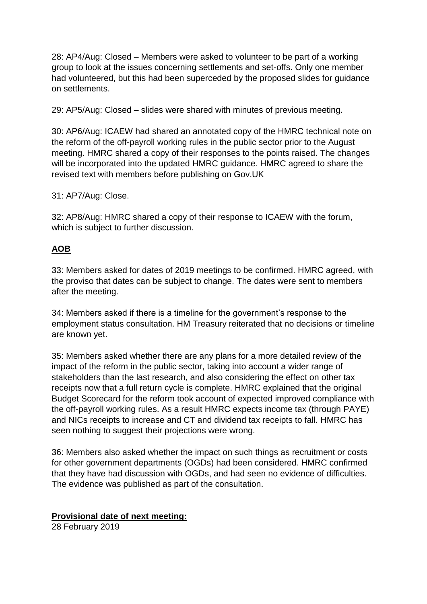28: AP4/Aug: Closed – Members were asked to volunteer to be part of a working group to look at the issues concerning settlements and set-offs. Only one member had volunteered, but this had been superceded by the proposed slides for guidance on settlements.

29: AP5/Aug: Closed – slides were shared with minutes of previous meeting.

30: AP6/Aug: ICAEW had shared an annotated copy of the HMRC technical note on the reform of the off-payroll working rules in the public sector prior to the August meeting. HMRC shared a copy of their responses to the points raised. The changes will be incorporated into the updated HMRC guidance. HMRC agreed to share the revised text with members before publishing on Gov.UK

31: AP7/Aug: Close.

32: AP8/Aug: HMRC shared a copy of their response to ICAEW with the forum, which is subject to further discussion.

# **AOB**

33: Members asked for dates of 2019 meetings to be confirmed. HMRC agreed, with the proviso that dates can be subject to change. The dates were sent to members after the meeting.

34: Members asked if there is a timeline for the government's response to the employment status consultation. HM Treasury reiterated that no decisions or timeline are known yet.

35: Members asked whether there are any plans for a more detailed review of the impact of the reform in the public sector, taking into account a wider range of stakeholders than the last research, and also considering the effect on other tax receipts now that a full return cycle is complete. HMRC explained that the original Budget Scorecard for the reform took account of expected improved compliance with the off-payroll working rules. As a result HMRC expects income tax (through PAYE) and NICs receipts to increase and CT and dividend tax receipts to fall. HMRC has seen nothing to suggest their projections were wrong.

36: Members also asked whether the impact on such things as recruitment or costs for other government departments (OGDs) had been considered. HMRC confirmed that they have had discussion with OGDs, and had seen no evidence of difficulties. The evidence was published as part of the consultation.

## **Provisional date of next meeting:**

28 February 2019